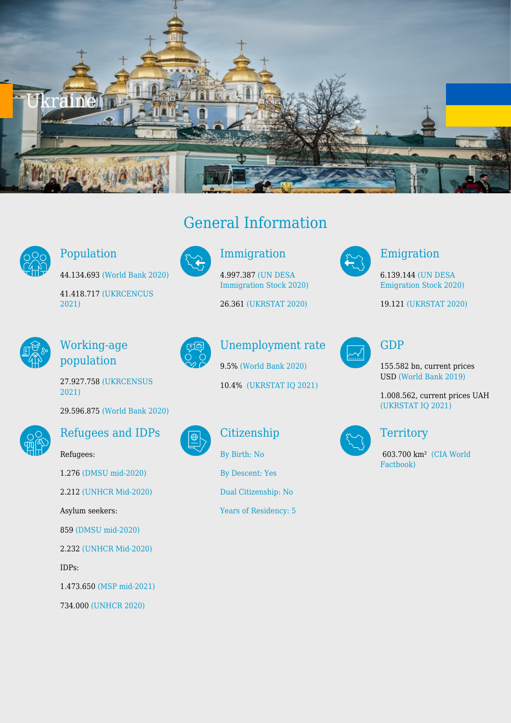



# Population

44.134.693 [\(World Bank 2020\)](https://databank.worldbank.org/reports.aspx?source=2&series=SP.POP.TOTL&country=ALB,AUT,ARM,AZE,BLR,BEL,BIH,BGR,HRV,CYP,CZE,DNK,EST,FIN,FRA,GEO,DEU,GRC,HUN,IRL,ITA,KAZ,XKX,KGZ,LVA,LIE,LTU,LUX,MKD,MLT,MDA,MNE,NLD,NOR,POL,PRT,ROU,RUS,SRB,SVK,SVN,ESP,SWE,CHE,TJK,TUR,TKM,UKR,UZB)

41.418.717 [\(UKRCENCUS](http://database.ukrcensus.gov.ua/MULT/Dialog/view.asp?ma=3&ti=Distribution+of+permanent+population+by+gender%2C+basic+age+groups%2C+male-female+ratio+and+average+age+of+population+in+Ukraine&path=../Quicktables/KEY_IND/1/&lang=2&multilang=en) [2021\)](http://database.ukrcensus.gov.ua/MULT/Dialog/view.asp?ma=3&ti=Distribution+of+permanent+population+by+gender%2C+basic+age+groups%2C+male-female+ratio+and+average+age+of+population+in+Ukraine&path=../Quicktables/KEY_IND/1/&lang=2&multilang=en)



Working-age population

27.927.758 [\(UKRCENSUS](http://database.ukrcensus.gov.ua/MULT/Dialog/view.asp?ma=3&ti=Distribution+of+permanent+population+by+gender%2C+basic+age+groups%2C+male-female+ratio+and+average+age+of+population+in+Ukraine&path=../Quicktables/KEY_IND/1/&lang=2&multilang=en) [2021\)](http://database.ukrcensus.gov.ua/MULT/Dialog/view.asp?ma=3&ti=Distribution+of+permanent+population+by+gender%2C+basic+age+groups%2C+male-female+ratio+and+average+age+of+population+in+Ukraine&path=../Quicktables/KEY_IND/1/&lang=2&multilang=en)

29.596.875 [\(World Bank 2020\)](https://databank.worldbank.org/reports.aspx?source=2&series=SP.POP.TOTL&country=ALB,AUT,ARM,AZE,BLR,BEL,BIH,BGR,HRV,CYP,CZE,DNK,EST,FIN,FRA,GEO,DEU,GRC,HUN,IRL,ITA,KAZ,XKX,KGZ,LVA,LIE,LTU,LUX,MKD,MLT,MDA,MNE,NLD,NOR,POL,PRT,ROU,RUS,SRB,SVK,SVN,ESP,SWE,CHE,TJK,TUR,TKM,UKR,UZB)



### Refugees and IDPs

Refugees: 1.276 [\(DMSU mid-2020\)](https://dmsu.gov.ua/) 2.212 [\(UNHCR Mid-2020\)](https://www.unhcr.org/refugee-statistics/download/?url=jWAn83) Asylum seekers: 859 [\(DMSU mid-2020\)](https://dmsu.gov.ua/) 2.232 [\(UNHCR Mid-2020\)](https://www.unhcr.org/refugee-statistics/download/?url=jWAn83) IDPs: 1.473.650 [\(MSP mid-2021\)](https://www.msp.gov.ua/timeline/Vnutrishno-peremishcheni-osobi.html) 734.000 [\(UNHCR 2020\)](https://www.unhcr.org/refugee-statistics/download/?url=jWAn83)





### Immigration

4.997.387 [\(UN DESA](https://www.un.org/development/desa/pd/content/international-migrant-stock) [Immigration Stock 2020\)](https://www.un.org/development/desa/pd/content/international-migrant-stock)

26.361 [\(UKRSTAT 2020\)](http://www.ukrstat.gov.ua/)



## Unemployment rate

9.5% [\(World Bank 2020\)](https://databank.worldbank.org/reports.aspx?source=2&series=SP.POP.TOTL&country=ALB,AUT,ARM,AZE,BLR,BEL,BIH,BGR,HRV,CYP,CZE,DNK,EST,FIN,FRA,GEO,DEU,GRC,HUN,IRL,ITA,KAZ,XKX,KGZ,LVA,LIE,LTU,LUX,MKD,MLT,MDA,MNE,NLD,NOR,POL,PRT,ROU,RUS,SRB,SVK,SVN,ESP,SWE,CHE,TJK,TUR,TKM,UKR,UZB) 10.4% [\(UKRSTAT IQ 2021\)](http://www.ukrstat.gov.ua/)

Citizenship

[By Birth: No](http://globalcit.eu/acquisition-citizenship/)

[By Descent: Yes](http://globalcit.eu/acquisition-citizenship/)

[Dual Citizenship: No](http://globalcit.eu/acquisition-citizenship/)

[Years of Residency: 5](http://globalcit.eu/acquisition-citizenship/)



#### Emigration

6.139.144 [\(UN DESA](https://www.un.org/development/desa/pd/content/international-migrant-stock) [Emigration Stock 2020\)](https://www.un.org/development/desa/pd/content/international-migrant-stock)

19.121 [\(UKRSTAT 2020\)](http://www.ukrstat.gov.ua/)



## GDP

155.582 bn, current prices USD [\(World Bank 2019\)](https://databank.worldbank.org/reports.aspx?source=2&series=SP.POP.TOTL&country=ALB,AUT,ARM,AZE,BLR,BEL,BIH,BGR,HRV,CYP,CZE,DNK,EST,FIN,FRA,GEO,DEU,GRC,HUN,IRL,ITA,KAZ,XKX,KGZ,LVA,LIE,LTU,LUX,MKD,MLT,MDA,MNE,NLD,NOR,POL,PRT,ROU,RUS,SRB,SVK,SVN,ESP,SWE,CHE,TJK,TUR,TKM,UKR,UZB)

1.008.562, current prices UAH [\(UKRSTAT IQ 2021\)](http://www.ukrstat.gov.ua/)



### **Territory**

 603.700 km² [\(CIA World](https://www.cia.gov/library/publications/resources/the-world-factbook/geos/up.html) [Factbook\)](https://www.cia.gov/library/publications/resources/the-world-factbook/geos/up.html)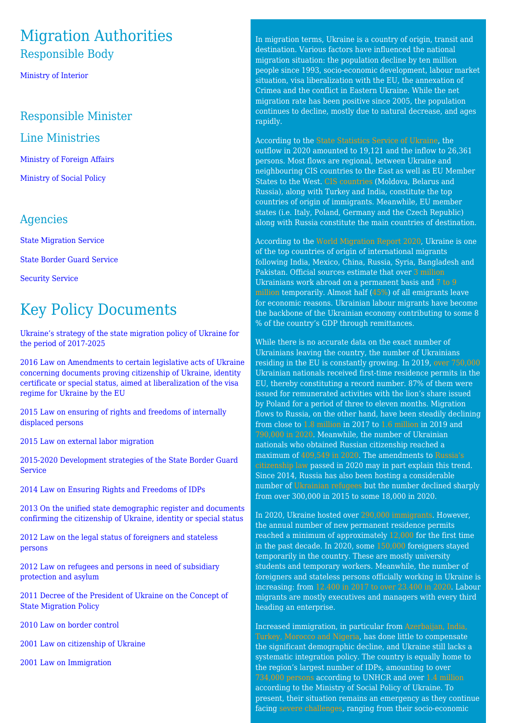## Migration Authorities Responsible Body

[Ministry of Interior](http://mvs.gov.ua/en/)

#### Responsible Minister

#### Line Ministries

[Ministry of Foreign Affairs](https://mfa.gov.ua/en)

[Ministry of Social Policy](https://www.msp.gov.ua/en/)

#### Agencies

[State Migration Service](https://dmsu.gov.ua/en-home.html)

[State Border Guard Service](https://dpsu.gov.ua/en/)

[Security Service](https://ssu.gov.ua/en/)

# Key Policy Documents

[Ukraine's strategy of the state migration policy of Ukraine for](https://zakon.rada.gov.ua/laws/show/482-2017-%D1%80#n10) [the period of 2017-2025](https://zakon.rada.gov.ua/laws/show/482-2017-%D1%80#n10)

[2016 Law on Amendments to certain legislative acts of Ukraine](https://zakon.rada.gov.ua/laws/show/1474-19#Text) [concerning documents proving citizenship of Ukraine, identity](https://zakon.rada.gov.ua/laws/show/1474-19#Text) [certificate or special status, aimed at liberalization of the visa](https://zakon.rada.gov.ua/laws/show/1474-19#Text) [regime for Ukraine by the EU](https://zakon.rada.gov.ua/laws/show/1474-19#Text)

[2015 Law on ensuring of rights and freedoms of internally](https://www.refworld.org/cgi-bin/texis/vtx/rwmain/opendocpdf.pdf?reldoc=y&docid=5d6677924) [displaced persons](https://www.refworld.org/cgi-bin/texis/vtx/rwmain/opendocpdf.pdf?reldoc=y&docid=5d6677924)

[2015 Law on external labor migration](https://zakon.rada.gov.ua/laws/show/761-19#Text)

[2015-2020 Development strategies of the State Border Guard](https://zakon.rada.gov.ua/laws/show/1189-2015-%D1%80#n8) [Service](https://zakon.rada.gov.ua/laws/show/1189-2015-%D1%80#n8)

[2014 Law on Ensuring Rights and Freedoms of IDPs](https://www.refworld.org/country,,,LEGISLATION,UKR,,5a7af1d54,0.html)

[2013 On the unified state demographic register and documents](https://zakon.rada.gov.ua/laws/show/5492-17#Text) [confirming the citizenship of Ukraine, identity or special status](https://zakon.rada.gov.ua/laws/show/5492-17#Text)

[2012 Law on the legal status of foreigners and stateless](https://www.legislationline.org/download/id/7314/file/Ukraine_law_foreigners_stateless_people_1994_am2011_en.pdf#:~:text=Foreigners%20and%20stateless%20persons%20staying,or%20international%20treaties%20of%20Ukraine.) [persons](https://www.legislationline.org/download/id/7314/file/Ukraine_law_foreigners_stateless_people_1994_am2011_en.pdf#:~:text=Foreigners%20and%20stateless%20persons%20staying,or%20international%20treaties%20of%20Ukraine.)

[2012 Law on refugees and persons in need of subsidiary](http://ilo.org/dyn/natlex/docs/ELECTRONIC/89941/103439/F1691986087/UKR89941_English.pdf) [protection and asylum](http://ilo.org/dyn/natlex/docs/ELECTRONIC/89941/103439/F1691986087/UKR89941_English.pdf)

[2011 Decree of the President of Ukraine on the Concept of](https://zakon.rada.gov.ua/laws/show/622/2011#Text) [State Migration Policy](https://zakon.rada.gov.ua/laws/show/622/2011#Text)

[2010 Law on border control](https://zakon.rada.gov.ua/laws/show/1710-17#Text)

[2001 Law on citizenship of Ukraine](https://www.refworld.org/pdfid/44a280fa4.pdf)

[2001 Law on Immigration](https://zakon.rada.gov.ua/laws/show/2491-14#Text)

In migration terms, Ukraine is a country of origin, transit and destination. Various factors have influenced the national migration situation: the population decline by ten million people since 1993, socio-economic development, labour market situation, visa liberalization with the EU, the annexation of Crimea and the conflict in Eastern Ukraine. While the net migration rate has been positive since 2005, the population continues to decline, mostly due to natural decrease, and ages rapidly.

According to the [State Statistics Service of Ukraine](http://www.ukrstat.gov.ua/), the outflow in 2020 amounted to 19,121 and the inflow to 26,361 persons. Most flows are regional, between Ukraine and neighbouring CIS countries to the East as well as EU Member States to the West. [CIS countries](http://www.ukrstat.gov.ua/) (Moldova, Belarus and Russia), along with Turkey and India, constitute the top countries of origin of immigrants. Meanwhile, EU member states (i.e. Italy, Poland, Germany and the Czech Republic) along with Russia constitute the main countries of destination.

According to the [World Migration Report 2020,](https://publications.iom.int/system/files/pdf/wmr_2020.pdf) Ukraine is one of the top countries of origin of international migrants following India, Mexico, China, Russia, Syria, Bangladesh and Pakistan. Official sources estimate that over [3 million](https://www.kmu.gov.ua/en/news/minekonomiki-ta-posolstvo-nimechchini-domovilisya-pro-spivpracyu-u-sferi-pracevlashtuvannya) Ukrainians work abroad on a permanent basis and [7 to 9](https://www.kmu.gov.ua/en/news/minekonomiki-ta-posolstvo-nimechchini-domovilisya-pro-spivpracyu-u-sferi-pracevlashtuvannya) [million](https://www.kmu.gov.ua/en/news/minekonomiki-ta-posolstvo-nimechchini-domovilisya-pro-spivpracyu-u-sferi-pracevlashtuvannya) temporarily. Almost half ([45%\)](https://ru.slovoidilo.ua/2021/03/18/infografika/obshhestvo/trudovaya-migraciya-skolko-ukraincev-rabotali-granicej-2019-2021-godax) of all emigrants leave for economic reasons. Ukrainian labour migrants have become the backbone of the Ukrainian economy contributing to some 8 % of the country's GDP through remittances.

While there is no accurate data on the exact number of Ukrainians leaving the country, the number of Ukrainians residing in the EU is constantly growing. In 2019, [over 750,000](https://ec.europa.eu/eurostat/databrowser/view/MIGR_RESFIRST__custom_1546899/default/table?lang=en) Ukrainian nationals received first-time residence permits in the EU, thereby constituting a record number. 87% of them were issued for remunerated activities with the lion's share issued by Poland for a period of three to eleven months. Migration flows to Russia, on the other hand, have been steadily declining from close to [1.8 million](https://мвд.рф/dejatelnost/statistics/migracionnaya/item/12162171/) in 2017 to [1.6 million](https://мвд.рф/dejatelnost/statistics/migracionnaya/item/19365693/) in 2019 and [790,000 in 2020.](https://мвд.рф/dejatelnost/statistics/migracionnaya/item/19365693/) Meanwhile, the number of Ukrainian nationals who obtained Russian citizenship reached a maximum of [409,549 in 2020.](https://мвд.рф/dejatelnost/statistics/migracionnaya/item/19365693/) The amendments to [Russia's](https://www.loc.gov/item/global-legal-monitor/2020-05-01/russia-new-law-eliminates-requirement-to-renounce-foreign-citizenship/) [citizenship law](https://www.loc.gov/item/global-legal-monitor/2020-05-01/russia-new-law-eliminates-requirement-to-renounce-foreign-citizenship/) passed in 2020 may in part explain this trend. Since 2014, Russia has also been hosting a considerable number of [Ukrainian refugees](https://www.unhcr.org/refugee-statistics/download/?url=aH7kY0) but the number declined sharply from over 300,000 in 2015 to some 18,000 in 2020.

In 2020, Ukraine hosted over [290,000 immigrants.](https://dmsu.gov.ua/assets/files/statistic/year/2020_12.pdf) However, the annual number of new permanent residence permits reached a minimum of approximately [12,000](https://dmsu.gov.ua/assets/files/statistic/year/2020_12.pdf) for the first time in the past decade. In 2020, some [150,000](https://dmsu.gov.ua/assets/files/statistic/year/2020_12.pdf) foreigners stayed temporarily in the country. These are mostly university students and temporary workers. Meanwhile, the number of foreigners and stateless persons officially working in Ukraine is increasing: from [12.400 in 2017 to over 23.400 in 2020.](https://www.epravda.com.ua/columns/2021/10/27/679134/) Labour migrants are mostly executives and managers with every third heading an enterprise.

Increased immigration, in particular from [Azerbaijan, India,](http://database.ukrcensus.gov.ua/PXWEB2007/ukr/publ_new1/2021/dem_2020.pdf) [Turkey, Morocco and Nigeria,](http://database.ukrcensus.gov.ua/PXWEB2007/ukr/publ_new1/2021/dem_2020.pdf) has done little to compensate the significant demographic decline, and Ukraine still lacks a systematic integration policy. The country is equally home to the region's largest number of IDPs, amounting to over [734,000 persons](https://www.unhcr.org/refugee-statistics/download/?url=vQ9pHd) according to UNHCR and over [1.4 million](https://www.msp.gov.ua/news/20309.html) according to the Ministry of Social Policy of Ukraine. To present, their situation remains an emergency as they continue facing [severe challenges,](https://www.pragueprocess.eu/en/resources/repository/33-reports/248-internal-displacement-in-ukraine-mapping-the-flows-and-challenges) ranging from their socio-economic